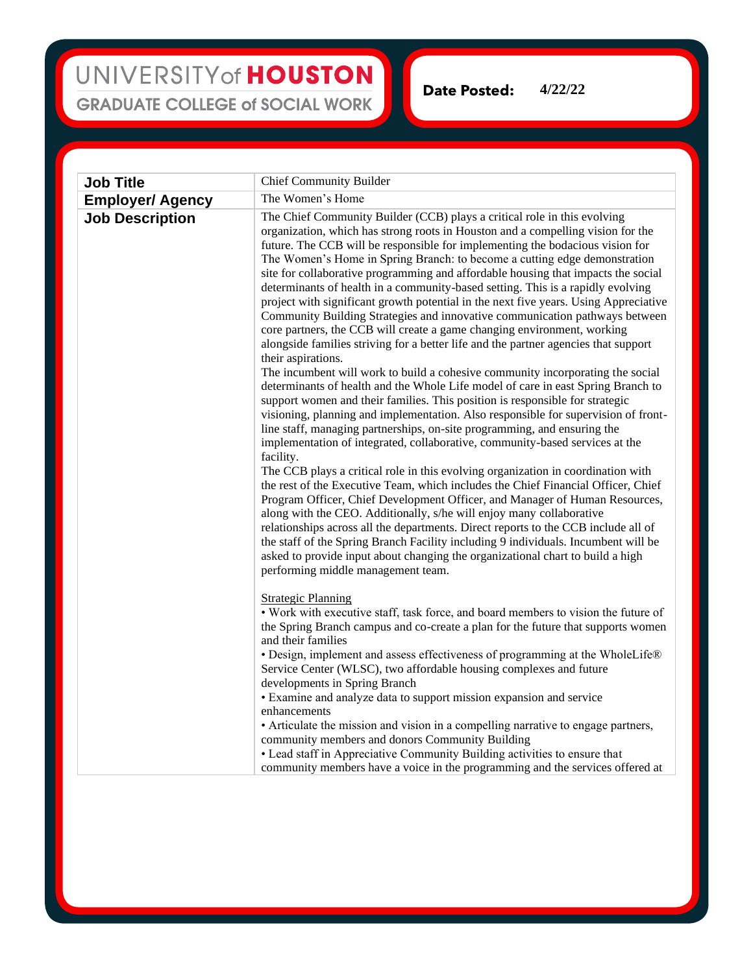## UNIVERSITY of HOUSTON **GRADUATE COLLEGE of SOCIAL WORK**

**Date Posted: 4/22/22**

| <b>Job Title</b>        | <b>Chief Community Builder</b>                                                                                                                                                                                                                                                                                                                                                                                                                                                                                                                                                                                                                                                                                                                                                                                                                                                                                                                                                                                                                                                                                                                                                                                                                                                                                                                                                                                                                                                                                                                                                                                                                                                                                                                                                                                                                                                                                                                                                                                                                         |
|-------------------------|--------------------------------------------------------------------------------------------------------------------------------------------------------------------------------------------------------------------------------------------------------------------------------------------------------------------------------------------------------------------------------------------------------------------------------------------------------------------------------------------------------------------------------------------------------------------------------------------------------------------------------------------------------------------------------------------------------------------------------------------------------------------------------------------------------------------------------------------------------------------------------------------------------------------------------------------------------------------------------------------------------------------------------------------------------------------------------------------------------------------------------------------------------------------------------------------------------------------------------------------------------------------------------------------------------------------------------------------------------------------------------------------------------------------------------------------------------------------------------------------------------------------------------------------------------------------------------------------------------------------------------------------------------------------------------------------------------------------------------------------------------------------------------------------------------------------------------------------------------------------------------------------------------------------------------------------------------------------------------------------------------------------------------------------------------|
| <b>Employer/ Agency</b> | The Women's Home                                                                                                                                                                                                                                                                                                                                                                                                                                                                                                                                                                                                                                                                                                                                                                                                                                                                                                                                                                                                                                                                                                                                                                                                                                                                                                                                                                                                                                                                                                                                                                                                                                                                                                                                                                                                                                                                                                                                                                                                                                       |
| <b>Job Description</b>  | The Chief Community Builder (CCB) plays a critical role in this evolving<br>organization, which has strong roots in Houston and a compelling vision for the<br>future. The CCB will be responsible for implementing the bodacious vision for<br>The Women's Home in Spring Branch: to become a cutting edge demonstration<br>site for collaborative programming and affordable housing that impacts the social<br>determinants of health in a community-based setting. This is a rapidly evolving<br>project with significant growth potential in the next five years. Using Appreciative<br>Community Building Strategies and innovative communication pathways between<br>core partners, the CCB will create a game changing environment, working<br>alongside families striving for a better life and the partner agencies that support<br>their aspirations.<br>The incumbent will work to build a cohesive community incorporating the social<br>determinants of health and the Whole Life model of care in east Spring Branch to<br>support women and their families. This position is responsible for strategic<br>visioning, planning and implementation. Also responsible for supervision of front-<br>line staff, managing partnerships, on-site programming, and ensuring the<br>implementation of integrated, collaborative, community-based services at the<br>facility.<br>The CCB plays a critical role in this evolving organization in coordination with<br>the rest of the Executive Team, which includes the Chief Financial Officer, Chief<br>Program Officer, Chief Development Officer, and Manager of Human Resources,<br>along with the CEO. Additionally, s/he will enjoy many collaborative<br>relationships across all the departments. Direct reports to the CCB include all of<br>the staff of the Spring Branch Facility including 9 individuals. Incumbent will be<br>asked to provide input about changing the organizational chart to build a high<br>performing middle management team.<br><b>Strategic Planning</b> |
|                         | • Work with executive staff, task force, and board members to vision the future of<br>the Spring Branch campus and co-create a plan for the future that supports women<br>and their families<br>• Design, implement and assess effectiveness of programming at the WholeLife®<br>Service Center (WLSC), two affordable housing complexes and future<br>developments in Spring Branch                                                                                                                                                                                                                                                                                                                                                                                                                                                                                                                                                                                                                                                                                                                                                                                                                                                                                                                                                                                                                                                                                                                                                                                                                                                                                                                                                                                                                                                                                                                                                                                                                                                                   |
|                         | • Examine and analyze data to support mission expansion and service<br>enhancements<br>• Articulate the mission and vision in a compelling narrative to engage partners,<br>community members and donors Community Building<br>• Lead staff in Appreciative Community Building activities to ensure that<br>community members have a voice in the programming and the services offered at                                                                                                                                                                                                                                                                                                                                                                                                                                                                                                                                                                                                                                                                                                                                                                                                                                                                                                                                                                                                                                                                                                                                                                                                                                                                                                                                                                                                                                                                                                                                                                                                                                                              |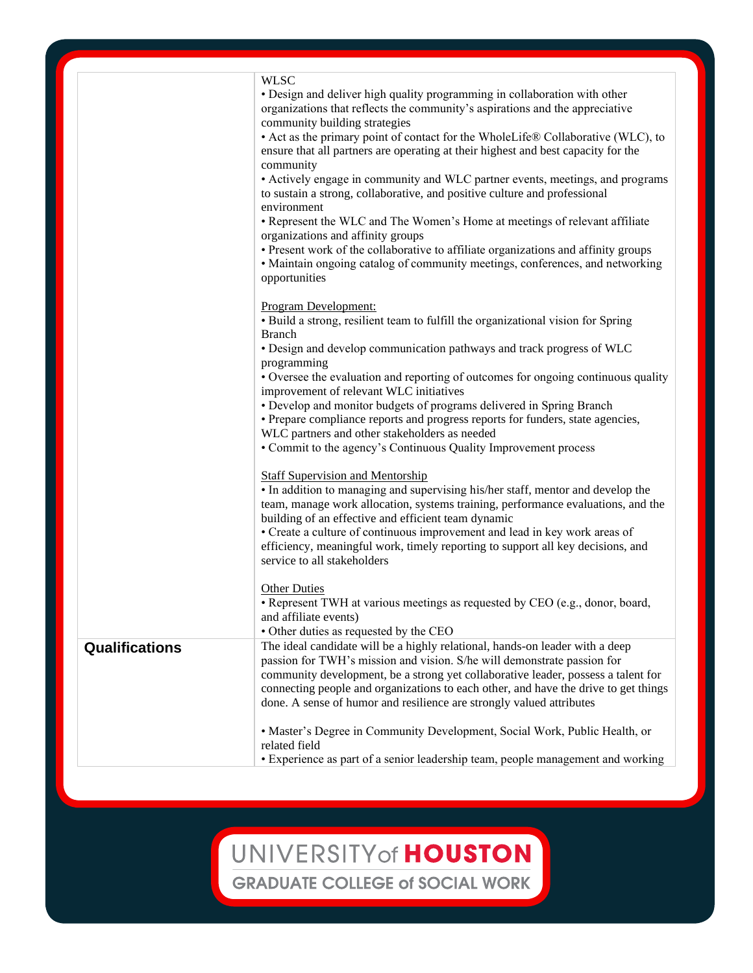|                | <b>WLSC</b>                                                                                                                                                                                                                                                                                                                                                                                                 |
|----------------|-------------------------------------------------------------------------------------------------------------------------------------------------------------------------------------------------------------------------------------------------------------------------------------------------------------------------------------------------------------------------------------------------------------|
|                | • Design and deliver high quality programming in collaboration with other<br>organizations that reflects the community's aspirations and the appreciative<br>community building strategies                                                                                                                                                                                                                  |
|                | • Act as the primary point of contact for the WholeLife® Collaborative (WLC), to<br>ensure that all partners are operating at their highest and best capacity for the<br>community                                                                                                                                                                                                                          |
|                | • Actively engage in community and WLC partner events, meetings, and programs<br>to sustain a strong, collaborative, and positive culture and professional<br>environment                                                                                                                                                                                                                                   |
|                | • Represent the WLC and The Women's Home at meetings of relevant affiliate<br>organizations and affinity groups                                                                                                                                                                                                                                                                                             |
|                | • Present work of the collaborative to affiliate organizations and affinity groups<br>• Maintain ongoing catalog of community meetings, conferences, and networking<br>opportunities                                                                                                                                                                                                                        |
|                | Program Development:<br>· Build a strong, resilient team to fulfill the organizational vision for Spring<br><b>Branch</b>                                                                                                                                                                                                                                                                                   |
|                | • Design and develop communication pathways and track progress of WLC<br>programming                                                                                                                                                                                                                                                                                                                        |
|                | • Oversee the evaluation and reporting of outcomes for ongoing continuous quality<br>improvement of relevant WLC initiatives                                                                                                                                                                                                                                                                                |
|                | • Develop and monitor budgets of programs delivered in Spring Branch<br>• Prepare compliance reports and progress reports for funders, state agencies,                                                                                                                                                                                                                                                      |
|                | WLC partners and other stakeholders as needed<br>• Commit to the agency's Continuous Quality Improvement process                                                                                                                                                                                                                                                                                            |
|                | <b>Staff Supervision and Mentorship</b><br>• In addition to managing and supervising his/her staff, mentor and develop the<br>team, manage work allocation, systems training, performance evaluations, and the<br>building of an effective and efficient team dynamic                                                                                                                                       |
|                | • Create a culture of continuous improvement and lead in key work areas of<br>efficiency, meaningful work, timely reporting to support all key decisions, and<br>service to all stakeholders                                                                                                                                                                                                                |
|                | <b>Other Duties</b><br>• Represent TWH at various meetings as requested by CEO (e.g., donor, board,<br>and affiliate events)<br>· Other duties as requested by the CEO                                                                                                                                                                                                                                      |
| Qualifications | The ideal candidate will be a highly relational, hands-on leader with a deep<br>passion for TWH's mission and vision. S/he will demonstrate passion for<br>community development, be a strong yet collaborative leader, possess a talent for<br>connecting people and organizations to each other, and have the drive to get things<br>done. A sense of humor and resilience are strongly valued attributes |
|                | • Master's Degree in Community Development, Social Work, Public Health, or<br>related field<br>• Experience as part of a senior leadership team, people management and working                                                                                                                                                                                                                              |

## UNIVERSITY of HOUSTON

**GRADUATE COLLEGE of SOCIAL WORK**